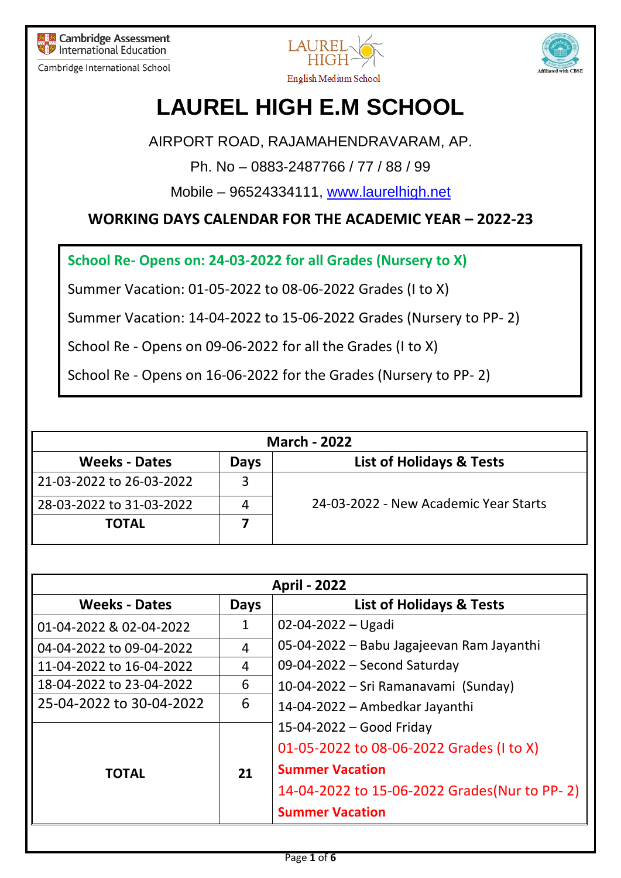

Cambridge International School





## **LAUREL HIGH E.M SCHOOL**

AIRPORT ROAD, RAJAMAHENDRAVARAM, AP.

Ph. No – 0883-2487766 / 77 / 88 / 99

Mobile – 96524334111, [www.laurelhigh.net](http://www.laurelhigh.net/)

**WORKING DAYS CALENDAR FOR THE ACADEMIC YEAR – 2022-23**

**School Re- Opens on: 24-03-2022 for all Grades (Nursery to X)**

Summer Vacation: 01-05-2022 to 08-06-2022 Grades (I to X)

Summer Vacation: 14-04-2022 to 15-06-2022 Grades (Nursery to PP- 2)

School Re - Opens on 09-06-2022 for all the Grades (I to X)

School Re - Opens on 16-06-2022 for the Grades (Nursery to PP- 2)

| <b>March - 2022</b>      |             |                                       |  |
|--------------------------|-------------|---------------------------------------|--|
| <b>Weeks - Dates</b>     | <b>Days</b> | <b>List of Holidays &amp; Tests</b>   |  |
| 21-03-2022 to 26-03-2022 |             |                                       |  |
| 28-03-2022 to 31-03-2022 | 4           | 24-03-2022 - New Academic Year Starts |  |
| <b>TOTAL</b>             |             |                                       |  |

| <b>April - 2022</b>      |              |                                               |  |
|--------------------------|--------------|-----------------------------------------------|--|
| <b>Weeks - Dates</b>     | <b>Days</b>  | <b>List of Holidays &amp; Tests</b>           |  |
| 01-04-2022 & 02-04-2022  | $\mathbf{1}$ | $02 - 04 - 2022 - U$ gadi                     |  |
| 04-04-2022 to 09-04-2022 | 4            | 05-04-2022 - Babu Jagajeevan Ram Jayanthi     |  |
| 11-04-2022 to 16-04-2022 | 4            | 09-04-2022 - Second Saturday                  |  |
| 18-04-2022 to 23-04-2022 | 6            | 10-04-2022 – Sri Ramanavami (Sunday)          |  |
| 25-04-2022 to 30-04-2022 | 6            | 14-04-2022 - Ambedkar Jayanthi                |  |
|                          | 21           | $15-04-2022$ – Good Friday                    |  |
| <b>TOTAL</b>             |              | 01-05-2022 to 08-06-2022 Grades (1 to X)      |  |
|                          |              | <b>Summer Vacation</b>                        |  |
|                          |              | 14-04-2022 to 15-06-2022 Grades (Nur to PP-2) |  |
|                          |              | <b>Summer Vacation</b>                        |  |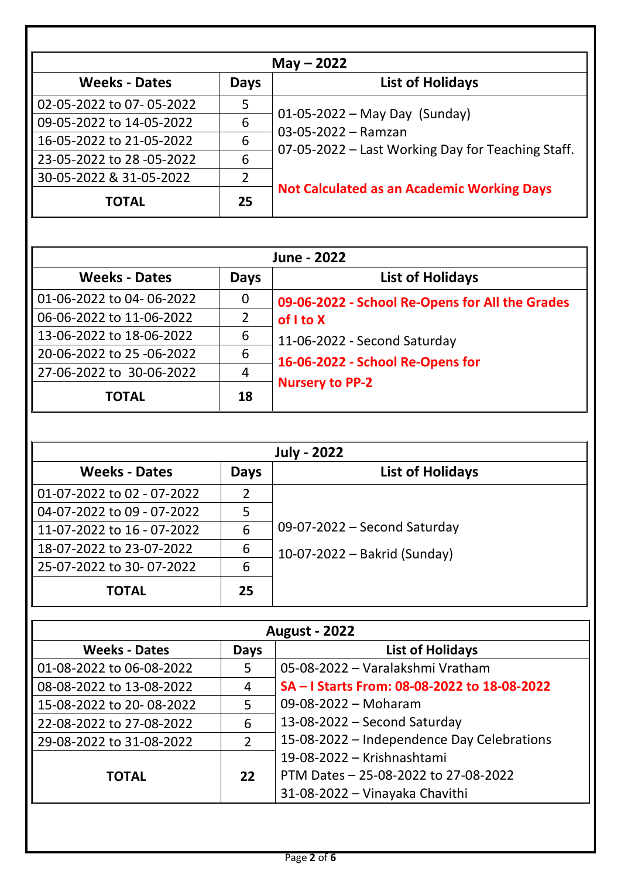|                           | $May - 2022$   |                                                                                                                 |  |  |
|---------------------------|----------------|-----------------------------------------------------------------------------------------------------------------|--|--|
| <b>Weeks - Dates</b>      | Days           | <b>List of Holidays</b>                                                                                         |  |  |
| 02-05-2022 to 07-05-2022  | 5              |                                                                                                                 |  |  |
| 09-05-2022 to 14-05-2022  | 6              | $01 - 05 - 2022 - May Day (Sunday)$<br>03-05-2022 - Ramzan<br>07-05-2022 – Last Working Day for Teaching Staff. |  |  |
| 16-05-2022 to 21-05-2022  | 6              |                                                                                                                 |  |  |
| 23-05-2022 to 28 -05-2022 | 6              |                                                                                                                 |  |  |
| 30-05-2022 & 31-05-2022   | $\overline{2}$ |                                                                                                                 |  |  |
| <b>TOTAL</b>              | 25             | <b>Not Calculated as an Academic Working Days</b>                                                               |  |  |

| June - 2022               |                |                                                                  |  |
|---------------------------|----------------|------------------------------------------------------------------|--|
| <b>Weeks - Dates</b>      | <b>Days</b>    | <b>List of Holidays</b>                                          |  |
| 01-06-2022 to 04-06-2022  | 0              | 09-06-2022 - School Re-Opens for All the Grades                  |  |
| 06-06-2022 to 11-06-2022  | $\overline{2}$ | of I to X                                                        |  |
| 13-06-2022 to 18-06-2022  | 6              | 11-06-2022 - Second Saturday<br>16-06-2022 - School Re-Opens for |  |
| 20-06-2022 to 25 -06-2022 | 6              |                                                                  |  |
| 27-06-2022 to 30-06-2022  | 4              |                                                                  |  |
| <b>TOTAL</b>              | 18             | <b>Nursery to PP-2</b>                                           |  |

| <b>July - 2022</b>         |             |                              |  |
|----------------------------|-------------|------------------------------|--|
| <b>Weeks - Dates</b>       | <b>Days</b> | <b>List of Holidays</b>      |  |
| 01-07-2022 to 02 - 07-2022 |             |                              |  |
| 04-07-2022 to 09 - 07-2022 | 5           |                              |  |
| 11-07-2022 to 16 - 07-2022 | 6           | 09-07-2022 - Second Saturday |  |
| 18-07-2022 to 23-07-2022   | 6           | 10-07-2022 – Bakrid (Sunday) |  |
| 25-07-2022 to 30-07-2022   | 6           |                              |  |
| <b>TOTAL</b>               | 25          |                              |  |

| <b>August - 2022</b>     |                |                                              |
|--------------------------|----------------|----------------------------------------------|
| <b>Weeks - Dates</b>     | <b>Days</b>    | <b>List of Holidays</b>                      |
| 01-08-2022 to 06-08-2022 | 5              | 05-08-2022 - Varalakshmi Vratham             |
| 08-08-2022 to 13-08-2022 | 4              | SA - I Starts From: 08-08-2022 to 18-08-2022 |
| 15-08-2022 to 20-08-2022 | 5              | 09-08-2022 - Moharam                         |
| 22-08-2022 to 27-08-2022 | 6              | 13-08-2022 - Second Saturday                 |
| 29-08-2022 to 31-08-2022 | $\overline{2}$ | 15-08-2022 – Independence Day Celebrations   |
|                          |                | 19-08-2022 - Krishnashtami                   |
| <b>TOTAL</b>             | 22             | PTM Dates - 25-08-2022 to 27-08-2022         |
|                          |                | 31-08-2022 - Vinayaka Chavithi               |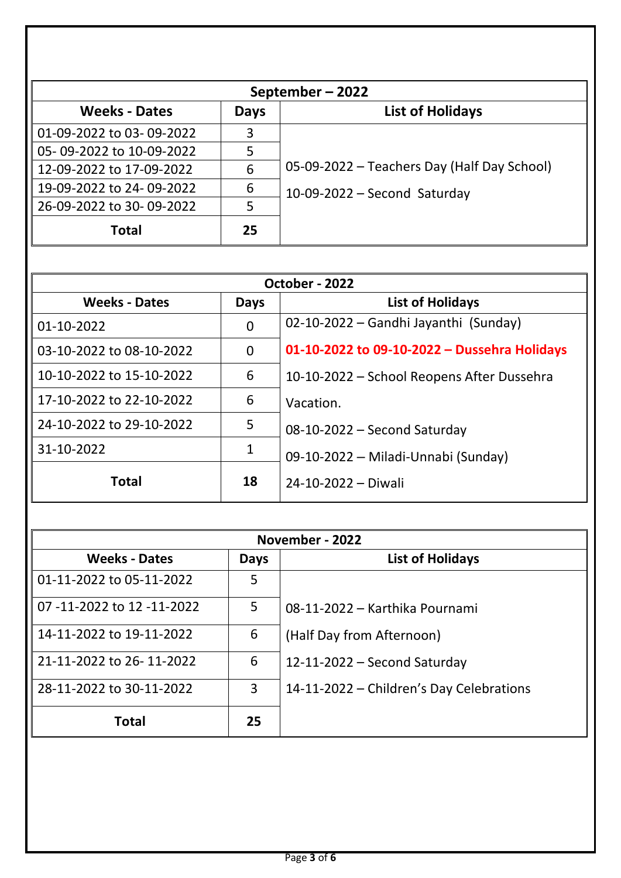|                          | September-2022 |                                             |  |  |
|--------------------------|----------------|---------------------------------------------|--|--|
| <b>Weeks - Dates</b>     | Days           | <b>List of Holidays</b>                     |  |  |
| 01-09-2022 to 03-09-2022 | 3              |                                             |  |  |
| 05-09-2022 to 10-09-2022 | 5              |                                             |  |  |
| 12-09-2022 to 17-09-2022 | 6              | 05-09-2022 – Teachers Day (Half Day School) |  |  |
| 19-09-2022 to 24-09-2022 | 6              | $10-09-2022$ – Second Saturday              |  |  |
| 26-09-2022 to 30-09-2022 | 5              |                                             |  |  |
| <b>Total</b>             | 25             |                                             |  |  |

| October - 2022           |      |                                              |
|--------------------------|------|----------------------------------------------|
| <b>Weeks - Dates</b>     | Days | <b>List of Holidays</b>                      |
| 01-10-2022               | 0    | 02-10-2022 - Gandhi Jayanthi (Sunday)        |
| 03-10-2022 to 08-10-2022 | 0    | 01-10-2022 to 09-10-2022 - Dussehra Holidays |
| 10-10-2022 to 15-10-2022 | 6    | 10-10-2022 - School Reopens After Dussehra   |
| 17-10-2022 to 22-10-2022 | 6    | Vacation.                                    |
| 24-10-2022 to 29-10-2022 | 5    | 08-10-2022 - Second Saturday                 |
| 31-10-2022               | 1    | 09-10-2022 - Miladi-Unnabi (Sunday)          |
| <b>Total</b>             | 18   | 24-10-2022 - Diwali                          |

| November - 2022            |      |                                          |
|----------------------------|------|------------------------------------------|
| <b>Weeks - Dates</b>       | Days | <b>List of Holidays</b>                  |
| 01-11-2022 to 05-11-2022   | 5    |                                          |
| 07 -11-2022 to 12 -11-2022 | 5    | 08-11-2022 – Karthika Pournami           |
| 14-11-2022 to 19-11-2022   | 6    | (Half Day from Afternoon)                |
| 21-11-2022 to 26-11-2022   | 6    | 12-11-2022 - Second Saturday             |
| 28-11-2022 to 30-11-2022   | 3    | 14-11-2022 – Children's Day Celebrations |
| <b>Total</b>               | 25   |                                          |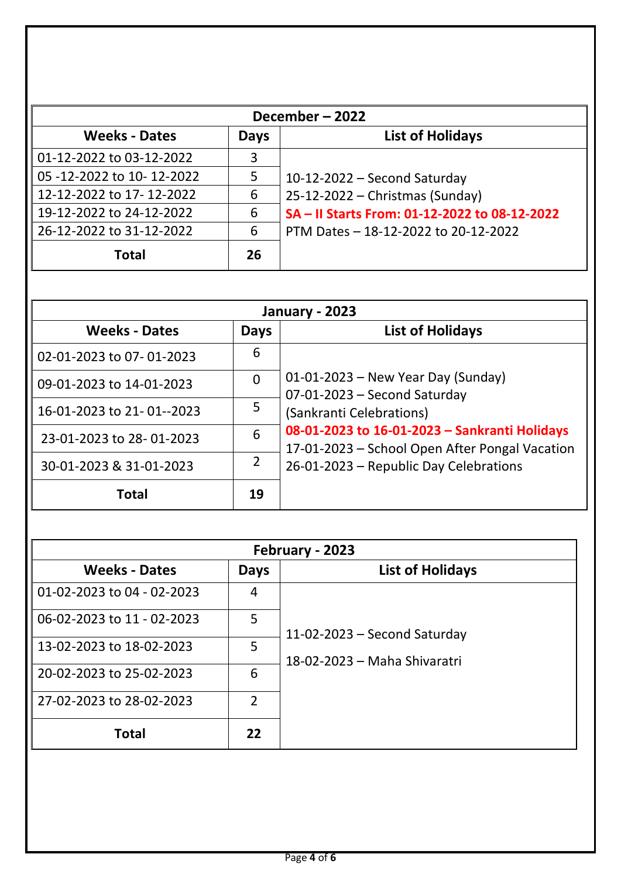| December-2022             |             |                                               |  |
|---------------------------|-------------|-----------------------------------------------|--|
| <b>Weeks - Dates</b>      | <b>Days</b> | <b>List of Holidays</b>                       |  |
| 01-12-2022 to 03-12-2022  | 3           |                                               |  |
| 05 -12-2022 to 10-12-2022 | 5           | 10-12-2022 - Second Saturday                  |  |
| 12-12-2022 to 17-12-2022  | 6           | 25-12-2022 - Christmas (Sunday)               |  |
| 19-12-2022 to 24-12-2022  | 6           | SA - Il Starts From: 01-12-2022 to 08-12-2022 |  |
| 26-12-2022 to 31-12-2022  | 6           | PTM Dates - 18-12-2022 to 20-12-2022          |  |
| <b>Total</b>              | 26          |                                               |  |

| <b>January - 2023</b>     |                |                                                                                                 |
|---------------------------|----------------|-------------------------------------------------------------------------------------------------|
| <b>Weeks - Dates</b>      | <b>Days</b>    | <b>List of Holidays</b>                                                                         |
| 02-01-2023 to 07-01-2023  | 6              |                                                                                                 |
| 09-01-2023 to 14-01-2023  | $\overline{0}$ | $01-01-2023$ – New Year Day (Sunday)<br>07-01-2023 - Second Saturday                            |
| 16-01-2023 to 21-01--2023 | 5              | (Sankranti Celebrations)                                                                        |
| 23-01-2023 to 28-01-2023  | 6              | 08-01-2023 to 16-01-2023 - Sankranti Holidays<br>17-01-2023 – School Open After Pongal Vacation |
| 30-01-2023 & 31-01-2023   | $\overline{2}$ | 26-01-2023 - Republic Day Celebrations                                                          |
| <b>Total</b>              | 19             |                                                                                                 |

| February - 2023            |                |                                |
|----------------------------|----------------|--------------------------------|
| <b>Weeks - Dates</b>       | Days           | <b>List of Holidays</b>        |
| 01-02-2023 to 04 - 02-2023 | 4              |                                |
| 06-02-2023 to 11 - 02-2023 | 5              | $11-02-2023$ – Second Saturday |
| 13-02-2023 to 18-02-2023   | 5              | 18-02-2023 - Maha Shivaratri   |
| 20-02-2023 to 25-02-2023   | 6              |                                |
| 27-02-2023 to 28-02-2023   | $\overline{2}$ |                                |
| Total                      | 22             |                                |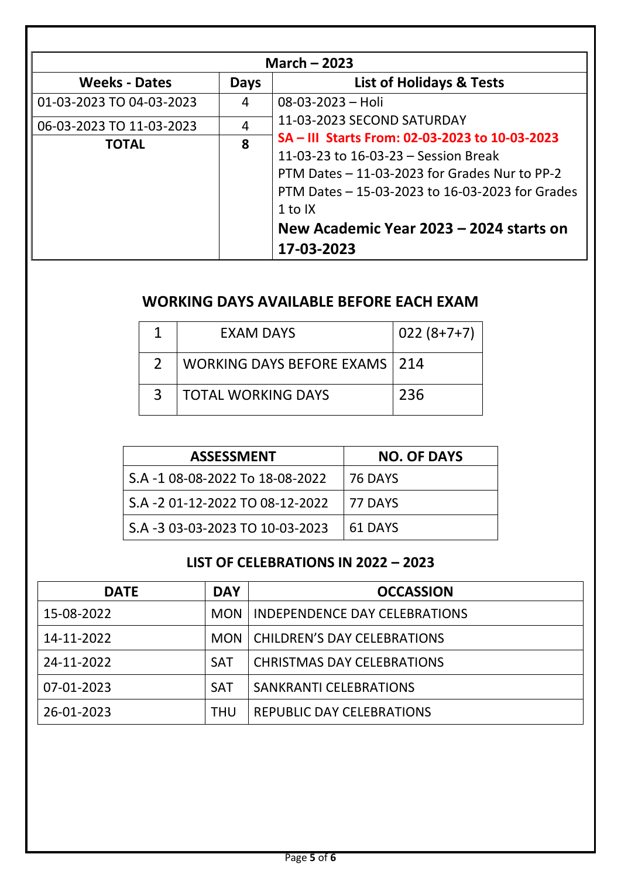| March $-2023$            |                |                                                                                                                                                                                                                                                                  |  |  |
|--------------------------|----------------|------------------------------------------------------------------------------------------------------------------------------------------------------------------------------------------------------------------------------------------------------------------|--|--|
| <b>Weeks - Dates</b>     | Days           | <b>List of Holidays &amp; Tests</b>                                                                                                                                                                                                                              |  |  |
| 01-03-2023 TO 04-03-2023 | 4              | $08 - 03 - 2023 - Holi$                                                                                                                                                                                                                                          |  |  |
| 06-03-2023 TO 11-03-2023 | $\overline{4}$ | 11-03-2023 SECOND SATURDAY                                                                                                                                                                                                                                       |  |  |
| <b>TOTAL</b>             | 8              | SA – III Starts From: 02-03-2023 to 10-03-2023<br>11-03-23 to 16-03-23 - Session Break<br>PTM Dates - 11-03-2023 for Grades Nur to PP-2<br>PTM Dates - 15-03-2023 to 16-03-2023 for Grades<br>1 to $IX$<br>New Academic Year 2023 - 2024 starts on<br>17-03-2023 |  |  |

## **WORKING DAYS AVAILABLE BEFORE EACH EXAM**

|   | EXAM DAYS                            | $022(8+7+7)$ |
|---|--------------------------------------|--------------|
|   | <b>WORKING DAYS BEFORE EXAMS 214</b> |              |
| २ | <b>TOTAL WORKING DAYS</b>            | 236          |

| <b>ASSESSMENT</b>                | <b>NO. OF DAYS</b> |
|----------------------------------|--------------------|
| S.A -1 08-08-2022 To 18-08-2022  | 76 DAYS            |
| S.A - 2 01-12-2022 TO 08-12-2022 | 77 DAYS            |
| S.A -3 03-03-2023 TO 10-03-2023  | 61 DAYS            |

## **LIST OF CELEBRATIONS IN 2022 – 2023**

| <b>DATE</b> | <b>DAY</b> | <b>OCCASSION</b>                     |
|-------------|------------|--------------------------------------|
| 15-08-2022  | <b>MON</b> | <b>INDEPENDENCE DAY CELEBRATIONS</b> |
| 14-11-2022  |            | MON   CHILDREN'S DAY CELEBRATIONS    |
| 24-11-2022  | <b>SAT</b> | <b>CHRISTMAS DAY CELEBRATIONS</b>    |
| 07-01-2023  | <b>SAT</b> | <b>SANKRANTI CELEBRATIONS</b>        |
| 26-01-2023  | <b>THU</b> | <b>REPUBLIC DAY CELEBRATIONS</b>     |